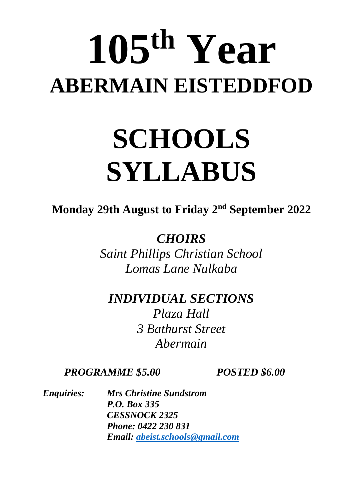# **105 th Year ABERMAIN EISTEDDFOD**

## **SCHOOLS SYLLABUS**

**Monday 29th August to Friday 2 nd September 2022**

*CHOIRS* 

*Saint Phillips Christian School Lomas Lane Nulkaba* 

*INDIVIDUAL SECTIONS Plaza Hall 3 Bathurst Street Abermain*

*PROGRAMME \$5.00 POSTED \$6.00*

*Enquiries: Mrs Christine Sundstrom P.O. Box 335 CESSNOCK 2325 Phone: 0422 230 831 Email: <abeist.schools@gmail.com>*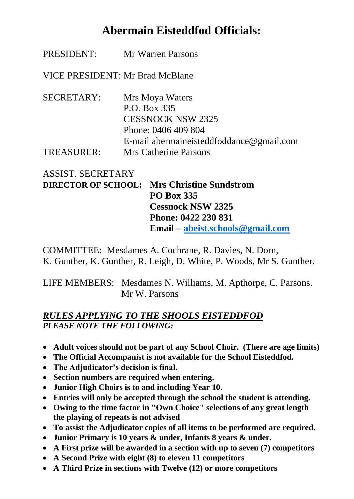## **Abermain Eisteddfod Officials:**

PRESIDENT: Mr Warren Parsons

VICE PRESIDENT: Mr Brad McBlane

SECRETARY: Mrs Moya Waters P.O. Box 335 CESSNOCK NSW 2325 Phone: 0406 409 804 E-mail [abermaineisteddfoddance@gmail.com](mailto:abermaineisteddfod@gmail.com) TREASURER: Mrs Catherine Parsons

## ASSIST. SECRETARY

**DIRECTOR OF SCHOOL: Mrs Christine Sundstrom PO Box 335 Cessnock NSW 2325 Phone: 0422 230 831 Email – [abeist.schools@gmail.com](mailto:abeist.schools@gmail.com)**

COMMITTEE: Mesdames A. Cochrane, R. Davies, N. Dorn, K. Gunther, K. Gunther, R. Leigh, D. White, P. Woods, Mr S. Gunther.

LIFE MEMBERS: Mesdames N. Williams, M. Apthorpe, C. Parsons. Mr W. Parsons

### *RULES APPLYING TO THE SHOOLS EISTEDDFOD PLEASE NOTE THE FOLLOWING:*

- **Adult voices should not be part of any School Choir. (There are age limits)**
- **The Official Accompanist is not available for the School Eisteddfod.**
- **The Adjudicator's decision is final.**
- **Section numbers are required when entering.**
- **Junior High Choirs is to and including Year 10.**
- **Entries will only be accepted through the school the student is attending.**
- **Owing to the time factor in "Own Choice" selections of any great length the playing of repeats is not advised**
- **To assist the Adjudicator copies of all items to be performed are required.**
- **Junior Primary is 10 years & under, Infants 8 years & under.**
- **A First prize will be awarded in a section with up to seven (7) competitors**
- **A Second Prize with eight (8) to eleven 11 competitors**
- **A Third Prize in sections with Twelve (12) or more competitors**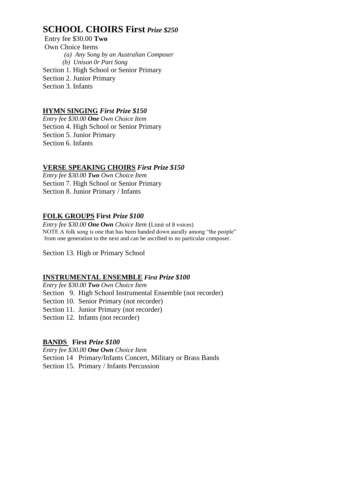## **SCHOOL CHOIRS First** *Prize \$250*

Entry fee \$30.00 **Two** Own Choice Items *(a) Any Song by an Australian Composer (b) Unison 0r Part Song* Section 1. High School or Senior Primary Section 2. Junior Primary Section 3. Infants

#### **HYMN SINGING** *First Prize \$150*

*Entry fee \$30.00 One Own Choice Item* Section 4. High School or Senior Primary Section 5. Junior Primary Section 6. Infants

#### **VERSE SPEAKING CHOIRS** *First Prize \$150*

*Entry fee \$30.00 Two Own Choice Item* Section 7. High School or Senior Primary Section 8. Junior Primary / Infants

#### **FOLK GROUPS First** *Prize \$100*

*Entry fee \$30.00 One Own Choice Item* (Limit of 8 voices) NOTE A folk song is one that has been handed down aurally among "the people" from one generation to the next and can be ascribed to no particular composer.

Section 13. High or Primary School

#### **INSTRUMENTAL ENSEMBLE** *First Prize \$100*

*Entry fee \$30.00 Two Own Choice Item* Section 9. High School Instrumental Ensemble (not recorder) Section 10. Senior Primary (not recorder) Section 11. Junior Primary (not recorder) Section 12. Infants (not recorder)

#### **BANDS First** *Prize \$100*

*Entry fee \$30.00 One Own Choice Item* Section 14 Primary/Infants Concert, Military or Brass Bands Section 15. Primary / Infants Percussion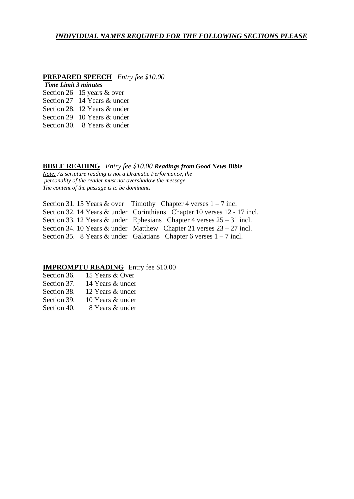#### *INDIVIDUAL NAMES REQUIRED FOR THE FOLLOWING SECTIONS PLEASE*

#### **PREPARED SPEECH** *Entry fee \$10.00*

#### *Time Limit 3 minutes*

- Section 26 15 years & over
- Section 27 14 Years & under
- Section 28. 12 Years & under
- Section 29 10 Years & under
- Section 30. 8 Years & under

#### **BIBLE READING** *Entry fee \$10.00 Readings from Good News Bible*

*Note: As scripture reading is not a Dramatic Performance, the personality of the reader must not overshadow the message. The content of the passage is to be dominant.*

Section 31. 15 Years & over Timothy Chapter 4 verses  $1 - 7$  incl Section 32. 14 Years & under Corinthians Chapter 10 verses 12 - 17 incl. Section 33. 12 Years & under Ephesians Chapter 4 verses 25 – 31 incl. Section 34. 10 Years & under Matthew Chapter 21 verses 23 – 27 incl. Section 35. 8 Years & under Galatians Chapter 6 verses  $1 - 7$  incl.

#### **IMPROMPTU READING** Entry fee \$10.00

| Section 36.          | 15 Years & Over           |
|----------------------|---------------------------|
| Section 37.          | 14 Years & under          |
| Section 38.          | 12 Years & under          |
| Section 39.          | 10 Years & under          |
| $\sim$ $\sim$ $\sim$ | $\cap$ TT $\cap$ $\cap$ 1 |

Section 40. 8 Years & under